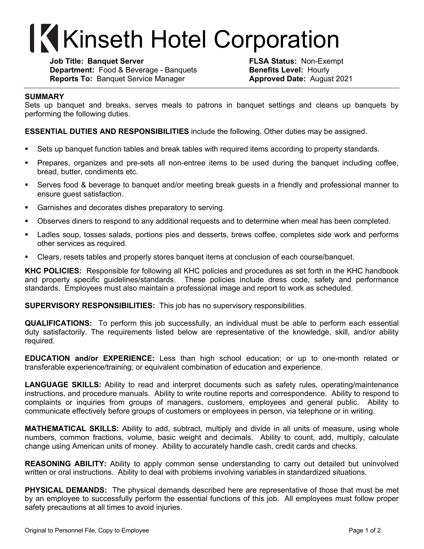## **Kinseth Hotel Corporation**

**Job Title: Banquet Server FLSA Status:** Non-Exempt **Department:** Food & Beverage - Banquets **Benefits Level:** Hourly **Reports To:** Banquet Service Manager **Approved Date:** August 2021

## **SUMMARY**

Sets up banquet and breaks, serves meals to patrons in banquet settings and cleans up banquets by performing the following duties.

**ESSENTIAL DUTIES AND RESPONSIBILITIES** include the following. Other duties may be assigned.

- Sets up banquet function tables and break tables with required items according to property standards.
- § Prepares, organizes and pre-sets all non-entree items to be used during the banquet including coffee, bread, butter, condiments etc.
- § Serves food & beverage to banquet and/or meeting break guests in a friendly and professional manner to ensure guest satisfaction.
- Garnishes and decorates dishes preparatory to serving.
- § Observes diners to respond to any additional requests and to determine when meal has been completed.
- Ladles soup, tosses salads, portions pies and desserts, brews coffee, completes side work and performs other services as required.
- Clears, resets tables and properly stores banquet items at conclusion of each course/banquet.

**KHC POLICIES:** Responsible for following all KHC policies and procedures as set forth in the KHC handbook and property specific guidelines/standards. These policies include dress code, safety and performance standards. Employees must also maintain a professional image and report to work as scheduled.

**SUPERVISORY RESPONSIBILITIES:** This job has no supervisory responsibilities.

**QUALIFICATIONS:** To perform this job successfully, an individual must be able to perform each essential duty satisfactorily. The requirements listed below are representative of the knowledge, skill, and/or ability required.

**EDUCATION and/or EXPERIENCE:** Less than high school education; or up to one-month related or transferable experience/training; or equivalent combination of education and experience.

**LANGUAGE SKILLS:** Ability to read and interpret documents such as safety rules, operating/maintenance instructions, and procedure manuals. Ability to write routine reports and correspondence. Ability to respond to complaints or inquiries from groups of managers, customers, employees and general public. Ability to communicate effectively before groups of customers or employees in person, via telephone or in writing.

**MATHEMATICAL SKILLS:** Ability to add, subtract, multiply and divide in all units of measure, using whole numbers, common fractions, volume, basic weight and decimals. Ability to count, add, multiply, calculate change using American units of money. Ability to accurately handle cash, credit cards and checks.

**REASONING ABILITY:** Ability to apply common sense understanding to carry out detailed but uninvolved written or oral instructions. Ability to deal with problems involving variables in standardized situations.

**PHYSICAL DEMANDS:** The physical demands described here are representative of those that must be met by an employee to successfully perform the essential functions of this job. All employees must follow proper safety precautions at all times to avoid injuries.